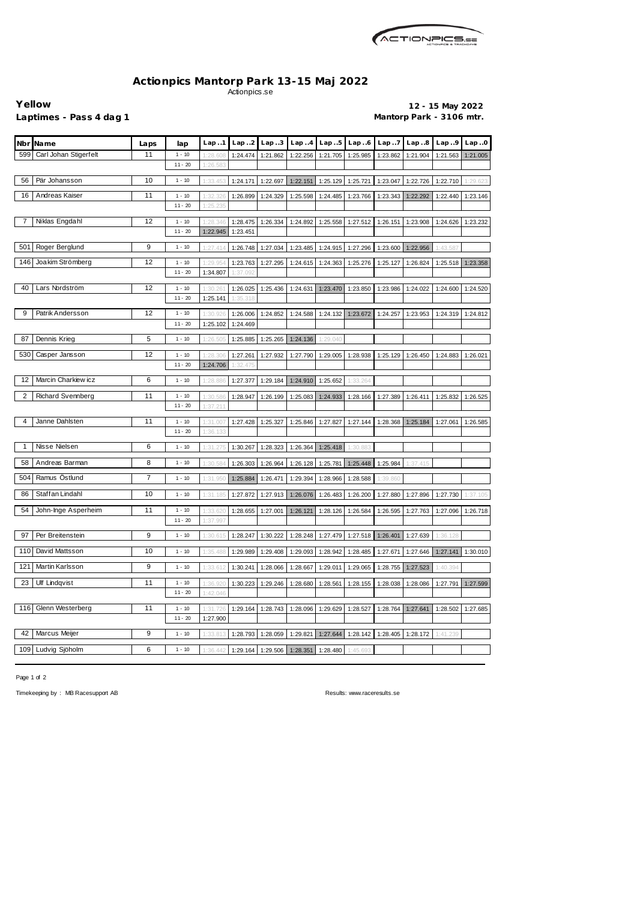

## **Actionpics Mantorp Park 13-15 Maj 2022** Actionpics.se

**Yellow 12 - 15 May 2022** Laptimes - Pass 4 dag 1 **Mantorp Park - 3106 mtr.** 

| Carl Johan Stigerfelt<br>599<br>11<br>$1 - 10$<br>1:24.474<br>1:22.256<br>1:25.985<br>1:21.904<br>1:28.60<br>1:21.862<br>1:21.705<br>1:23.862<br>1:21.563<br>1:21.005<br>$11 - 20$<br>1:26.583<br>56<br>Pär Johansson<br>10<br>1:25.129<br>1:23.047<br>1:22.726<br>$1 - 10$<br>1:33.45<br>1:24.171<br>1:22.697<br>1:22.151<br>1:25.721<br>1:22.710<br>1:29.623<br>16<br>Andreas Kaiser<br>11<br>$1 - 10$<br>1:32.32<br>1:26.899<br>1:24.329<br>1:25.598<br>1:24.485<br>1:23.766<br>1:23.343<br>1:22.292<br>1:22.440<br>1:23.146<br>$11 - 20$<br>1:25.235<br>Niklas Engdahl<br>12<br>7<br>$1 - 10$<br>1:28.475<br>1:26.334<br>1:24.892<br>1:25.558<br>1:27.512<br>1:26.151<br>1:23.908<br>1:24.626<br>1:23.232<br>1:28.34<br>$11 - 20$<br>1:22.945<br>1:23.451<br>Roger Berglund<br>9<br>501<br>$1 - 10$<br>1:27.414<br>1:26.748<br>1:27.034<br>1:23.485<br>1:24.915<br>1:27.296<br>1:23.600<br>1:22.956<br>1:43.587<br>12<br>146<br>Joakim Strömberg<br>1:23.763<br>$1 - 10$<br>1:29.95<br>1:27.295<br>1:24.615<br>1:24.363<br>1:25.276<br>1:25.127<br>1:26.824<br>1:25.518<br>1:23.358<br>$11 - 20$<br>1:34.807<br>1:37.092<br>12<br>40<br>Lars Nordström<br>$1 - 10$<br>1:30.26<br>1:26.025<br>1:25.436<br>1:24.631<br>1:23.470<br>1:23.850<br>1:23.986<br>1:24.022<br>1:24.600<br>1:24.520<br>$11 - 20$<br>1:25.141<br>1:35.318<br>12<br>9<br>Patrik Andersson<br>$1 - 10$<br>1:30.926<br>1:26.006<br>1:24.852<br>1:24.588<br>1:24.132<br>1:23.672<br>1:24.257<br>1:23.953<br>1:24.319<br>1:24.812<br>$11 - 20$<br>1:25.102<br>1:24.469<br>87<br>Dennis Krieg<br>5<br>$1 - 10$<br>1:26.505<br>1:25.885<br>1:25.265<br>1:24.136<br>1:29.040<br>530<br>Casper Jansson<br>12<br>$1 - 10$<br>1:28.30<br>1:27.261<br>1:27.932<br>1:27.790<br>1:29.005<br>1:28.938<br>1:25.129<br>1:26.450<br>1:24.883<br>1:26.021<br>$11 - 20$<br>1:24.706<br>1:32.475<br>12<br>Marcin Charkiew icz<br>6<br>$1 - 10$<br>1:28.886<br>1:27.377<br>1:29.184<br>1:24.910<br>1:25.652<br>1:33.264<br>$\overline{\mathbf{c}}$<br>Richard Svennberg<br>11<br>$1 - 10$<br>1:30.58<br>1:28.947<br>1:26.199<br>1:25.083<br>1:24.933<br>1:28.166<br>1:27.389<br>1:26.411<br>1:25.832<br>1:26.525<br>$11 - 20$<br>1:37.211<br>Janne Dahlsten<br>11<br>4<br>$1 - 10$<br>1:27.428<br>1:25.327<br>1:25.846<br>1:27.827<br>1:27.144<br>1:28.368<br>1:25.184<br>1:27.061<br>1:26.585<br>1:31.00<br>$11 - 20$<br>1:36.133<br>Nisse Nielsen<br>6<br>1<br>$1 - 10$<br>1:31.275<br>1:30.267<br>1:28.323<br>1:26.364<br>1:25.418<br>1:30.883<br>58<br>Andreas Barman<br>8<br>$1 - 10$<br>1:30.58<br>1:26.303<br>1:26.964<br>1:26.128<br>1:25.781<br>1:25.448<br>1:25.984<br>1:37.415<br>Ramus Östlund<br>7<br>504<br>$1 - 10$<br>1:31.95<br>1:25.884<br>1:26.471<br>1:29.394<br>1:28.966<br>1:28.588<br>1:39.860<br>Staffan Lindahl<br>86<br>10<br>1:26.483<br>1:27.896<br>$1 - 10$<br>1:31.18<br>1:27.872<br>1:27.913<br>1:26.076<br>1:26.200<br>1:27.880<br>1:27.730<br>1:37.105<br>54<br>11<br>John-Inge Asperheim<br>$1 - 10$<br>1:26.121<br>1:28.126<br>1:26.584<br>1:26.595<br>1:27.763<br>1:27.096<br>1:33.620<br>1:28.655<br>1:27.001<br>1:26.718<br>$11 - 20$<br>1:37.997<br>9<br>Per Breitenstein<br>97<br>$1 - 10$<br>1:30.61<br>1:30.222<br>1:28.248<br>1:27.479<br>1:28.247<br>1:27.518<br>1:26.401<br>1:27.639<br>1:36.128<br>David Mattsson<br>110<br>10<br>$1 - 10$<br>1:35.488<br>1:29.989<br>1:29.408<br>1:29.093<br>1:28.942<br>1:28.485<br>1:27.646<br>1:27.671<br>1:27.141<br>1:30.010<br>Martin Karlsson<br>121<br>9<br>$1 - 10$<br>1:33.612<br>1:30.241<br>1:28.667<br>1:29.011<br>1:29.065<br>1:28.755<br>1:27.523<br>1:40.394<br>1:28.066<br>23<br><b>Ulf Lindqvist</b><br>11<br>$1 - 10$<br>1:36.92<br>1:30.223<br>1:29.246<br>1:28.680<br>1:28.561<br>1:28.155<br>1:28.038<br>1:28.086<br>1:27.599<br>1:27.791<br>$11 - 20$<br>1:42.046<br>Glenn Westerberg<br>11<br>116<br>$1 - 10$<br>1:31.726<br>1:29.164<br>1:28.743<br>1:28.096<br>1:29.629<br>1:28.527<br>1:28.764<br>1:27.641<br>1:28.502<br>1:27.685<br>$11 - 20$<br>1:27.900 |                  |                |      |          |          |          |          |          |          |          |         |       |       |       |
|--------------------------------------------------------------------------------------------------------------------------------------------------------------------------------------------------------------------------------------------------------------------------------------------------------------------------------------------------------------------------------------------------------------------------------------------------------------------------------------------------------------------------------------------------------------------------------------------------------------------------------------------------------------------------------------------------------------------------------------------------------------------------------------------------------------------------------------------------------------------------------------------------------------------------------------------------------------------------------------------------------------------------------------------------------------------------------------------------------------------------------------------------------------------------------------------------------------------------------------------------------------------------------------------------------------------------------------------------------------------------------------------------------------------------------------------------------------------------------------------------------------------------------------------------------------------------------------------------------------------------------------------------------------------------------------------------------------------------------------------------------------------------------------------------------------------------------------------------------------------------------------------------------------------------------------------------------------------------------------------------------------------------------------------------------------------------------------------------------------------------------------------------------------------------------------------------------------------------------------------------------------------------------------------------------------------------------------------------------------------------------------------------------------------------------------------------------------------------------------------------------------------------------------------------------------------------------------------------------------------------------------------------------------------------------------------------------------------------------------------------------------------------------------------------------------------------------------------------------------------------------------------------------------------------------------------------------------------------------------------------------------------------------------------------------------------------------------------------------------------------------------------------------------------------------------------------------------------------------------------------------------------------------------------------------------------------------------------------------------------------------------------------------------------------------------------------------------------------------------------------------------------------------------------------------------------------------------------------------------------------------------------------------------------------------------------------------------------------------------------------------------------------------------------------------------------------------------------------------------------------------------------------------------------------------------------------------------------------------------------------------------------------|------------------|----------------|------|----------|----------|----------|----------|----------|----------|----------|---------|-------|-------|-------|
|                                                                                                                                                                                                                                                                                                                                                                                                                                                                                                                                                                                                                                                                                                                                                                                                                                                                                                                                                                                                                                                                                                                                                                                                                                                                                                                                                                                                                                                                                                                                                                                                                                                                                                                                                                                                                                                                                                                                                                                                                                                                                                                                                                                                                                                                                                                                                                                                                                                                                                                                                                                                                                                                                                                                                                                                                                                                                                                                                                                                                                                                                                                                                                                                                                                                                                                                                                                                                                                                                                                                                                                                                                                                                                                                                                                                                                                                                                                                                                                                                          | Nbr              | <b>Name</b>    | Laps | lap      | Lap1     | Lap.2    | Lap.3    | Lap.4    | Lap.5    | Lap.6    | Lap. .7 | Lap.8 | Lap.9 | Lap.0 |
|                                                                                                                                                                                                                                                                                                                                                                                                                                                                                                                                                                                                                                                                                                                                                                                                                                                                                                                                                                                                                                                                                                                                                                                                                                                                                                                                                                                                                                                                                                                                                                                                                                                                                                                                                                                                                                                                                                                                                                                                                                                                                                                                                                                                                                                                                                                                                                                                                                                                                                                                                                                                                                                                                                                                                                                                                                                                                                                                                                                                                                                                                                                                                                                                                                                                                                                                                                                                                                                                                                                                                                                                                                                                                                                                                                                                                                                                                                                                                                                                                          |                  |                |      |          |          |          |          |          |          |          |         |       |       |       |
|                                                                                                                                                                                                                                                                                                                                                                                                                                                                                                                                                                                                                                                                                                                                                                                                                                                                                                                                                                                                                                                                                                                                                                                                                                                                                                                                                                                                                                                                                                                                                                                                                                                                                                                                                                                                                                                                                                                                                                                                                                                                                                                                                                                                                                                                                                                                                                                                                                                                                                                                                                                                                                                                                                                                                                                                                                                                                                                                                                                                                                                                                                                                                                                                                                                                                                                                                                                                                                                                                                                                                                                                                                                                                                                                                                                                                                                                                                                                                                                                                          |                  |                |      |          |          |          |          |          |          |          |         |       |       |       |
|                                                                                                                                                                                                                                                                                                                                                                                                                                                                                                                                                                                                                                                                                                                                                                                                                                                                                                                                                                                                                                                                                                                                                                                                                                                                                                                                                                                                                                                                                                                                                                                                                                                                                                                                                                                                                                                                                                                                                                                                                                                                                                                                                                                                                                                                                                                                                                                                                                                                                                                                                                                                                                                                                                                                                                                                                                                                                                                                                                                                                                                                                                                                                                                                                                                                                                                                                                                                                                                                                                                                                                                                                                                                                                                                                                                                                                                                                                                                                                                                                          |                  |                |      |          |          |          |          |          |          |          |         |       |       |       |
|                                                                                                                                                                                                                                                                                                                                                                                                                                                                                                                                                                                                                                                                                                                                                                                                                                                                                                                                                                                                                                                                                                                                                                                                                                                                                                                                                                                                                                                                                                                                                                                                                                                                                                                                                                                                                                                                                                                                                                                                                                                                                                                                                                                                                                                                                                                                                                                                                                                                                                                                                                                                                                                                                                                                                                                                                                                                                                                                                                                                                                                                                                                                                                                                                                                                                                                                                                                                                                                                                                                                                                                                                                                                                                                                                                                                                                                                                                                                                                                                                          |                  |                |      |          |          |          |          |          |          |          |         |       |       |       |
|                                                                                                                                                                                                                                                                                                                                                                                                                                                                                                                                                                                                                                                                                                                                                                                                                                                                                                                                                                                                                                                                                                                                                                                                                                                                                                                                                                                                                                                                                                                                                                                                                                                                                                                                                                                                                                                                                                                                                                                                                                                                                                                                                                                                                                                                                                                                                                                                                                                                                                                                                                                                                                                                                                                                                                                                                                                                                                                                                                                                                                                                                                                                                                                                                                                                                                                                                                                                                                                                                                                                                                                                                                                                                                                                                                                                                                                                                                                                                                                                                          |                  |                |      |          |          |          |          |          |          |          |         |       |       |       |
|                                                                                                                                                                                                                                                                                                                                                                                                                                                                                                                                                                                                                                                                                                                                                                                                                                                                                                                                                                                                                                                                                                                                                                                                                                                                                                                                                                                                                                                                                                                                                                                                                                                                                                                                                                                                                                                                                                                                                                                                                                                                                                                                                                                                                                                                                                                                                                                                                                                                                                                                                                                                                                                                                                                                                                                                                                                                                                                                                                                                                                                                                                                                                                                                                                                                                                                                                                                                                                                                                                                                                                                                                                                                                                                                                                                                                                                                                                                                                                                                                          |                  |                |      |          |          |          |          |          |          |          |         |       |       |       |
|                                                                                                                                                                                                                                                                                                                                                                                                                                                                                                                                                                                                                                                                                                                                                                                                                                                                                                                                                                                                                                                                                                                                                                                                                                                                                                                                                                                                                                                                                                                                                                                                                                                                                                                                                                                                                                                                                                                                                                                                                                                                                                                                                                                                                                                                                                                                                                                                                                                                                                                                                                                                                                                                                                                                                                                                                                                                                                                                                                                                                                                                                                                                                                                                                                                                                                                                                                                                                                                                                                                                                                                                                                                                                                                                                                                                                                                                                                                                                                                                                          |                  |                |      |          |          |          |          |          |          |          |         |       |       |       |
|                                                                                                                                                                                                                                                                                                                                                                                                                                                                                                                                                                                                                                                                                                                                                                                                                                                                                                                                                                                                                                                                                                                                                                                                                                                                                                                                                                                                                                                                                                                                                                                                                                                                                                                                                                                                                                                                                                                                                                                                                                                                                                                                                                                                                                                                                                                                                                                                                                                                                                                                                                                                                                                                                                                                                                                                                                                                                                                                                                                                                                                                                                                                                                                                                                                                                                                                                                                                                                                                                                                                                                                                                                                                                                                                                                                                                                                                                                                                                                                                                          |                  |                |      |          |          |          |          |          |          |          |         |       |       |       |
|                                                                                                                                                                                                                                                                                                                                                                                                                                                                                                                                                                                                                                                                                                                                                                                                                                                                                                                                                                                                                                                                                                                                                                                                                                                                                                                                                                                                                                                                                                                                                                                                                                                                                                                                                                                                                                                                                                                                                                                                                                                                                                                                                                                                                                                                                                                                                                                                                                                                                                                                                                                                                                                                                                                                                                                                                                                                                                                                                                                                                                                                                                                                                                                                                                                                                                                                                                                                                                                                                                                                                                                                                                                                                                                                                                                                                                                                                                                                                                                                                          |                  |                |      |          |          |          |          |          |          |          |         |       |       |       |
|                                                                                                                                                                                                                                                                                                                                                                                                                                                                                                                                                                                                                                                                                                                                                                                                                                                                                                                                                                                                                                                                                                                                                                                                                                                                                                                                                                                                                                                                                                                                                                                                                                                                                                                                                                                                                                                                                                                                                                                                                                                                                                                                                                                                                                                                                                                                                                                                                                                                                                                                                                                                                                                                                                                                                                                                                                                                                                                                                                                                                                                                                                                                                                                                                                                                                                                                                                                                                                                                                                                                                                                                                                                                                                                                                                                                                                                                                                                                                                                                                          |                  |                |      |          |          |          |          |          |          |          |         |       |       |       |
|                                                                                                                                                                                                                                                                                                                                                                                                                                                                                                                                                                                                                                                                                                                                                                                                                                                                                                                                                                                                                                                                                                                                                                                                                                                                                                                                                                                                                                                                                                                                                                                                                                                                                                                                                                                                                                                                                                                                                                                                                                                                                                                                                                                                                                                                                                                                                                                                                                                                                                                                                                                                                                                                                                                                                                                                                                                                                                                                                                                                                                                                                                                                                                                                                                                                                                                                                                                                                                                                                                                                                                                                                                                                                                                                                                                                                                                                                                                                                                                                                          |                  |                |      |          |          |          |          |          |          |          |         |       |       |       |
|                                                                                                                                                                                                                                                                                                                                                                                                                                                                                                                                                                                                                                                                                                                                                                                                                                                                                                                                                                                                                                                                                                                                                                                                                                                                                                                                                                                                                                                                                                                                                                                                                                                                                                                                                                                                                                                                                                                                                                                                                                                                                                                                                                                                                                                                                                                                                                                                                                                                                                                                                                                                                                                                                                                                                                                                                                                                                                                                                                                                                                                                                                                                                                                                                                                                                                                                                                                                                                                                                                                                                                                                                                                                                                                                                                                                                                                                                                                                                                                                                          |                  |                |      |          |          |          |          |          |          |          |         |       |       |       |
|                                                                                                                                                                                                                                                                                                                                                                                                                                                                                                                                                                                                                                                                                                                                                                                                                                                                                                                                                                                                                                                                                                                                                                                                                                                                                                                                                                                                                                                                                                                                                                                                                                                                                                                                                                                                                                                                                                                                                                                                                                                                                                                                                                                                                                                                                                                                                                                                                                                                                                                                                                                                                                                                                                                                                                                                                                                                                                                                                                                                                                                                                                                                                                                                                                                                                                                                                                                                                                                                                                                                                                                                                                                                                                                                                                                                                                                                                                                                                                                                                          |                  |                |      |          |          |          |          |          |          |          |         |       |       |       |
|                                                                                                                                                                                                                                                                                                                                                                                                                                                                                                                                                                                                                                                                                                                                                                                                                                                                                                                                                                                                                                                                                                                                                                                                                                                                                                                                                                                                                                                                                                                                                                                                                                                                                                                                                                                                                                                                                                                                                                                                                                                                                                                                                                                                                                                                                                                                                                                                                                                                                                                                                                                                                                                                                                                                                                                                                                                                                                                                                                                                                                                                                                                                                                                                                                                                                                                                                                                                                                                                                                                                                                                                                                                                                                                                                                                                                                                                                                                                                                                                                          |                  |                |      |          |          |          |          |          |          |          |         |       |       |       |
|                                                                                                                                                                                                                                                                                                                                                                                                                                                                                                                                                                                                                                                                                                                                                                                                                                                                                                                                                                                                                                                                                                                                                                                                                                                                                                                                                                                                                                                                                                                                                                                                                                                                                                                                                                                                                                                                                                                                                                                                                                                                                                                                                                                                                                                                                                                                                                                                                                                                                                                                                                                                                                                                                                                                                                                                                                                                                                                                                                                                                                                                                                                                                                                                                                                                                                                                                                                                                                                                                                                                                                                                                                                                                                                                                                                                                                                                                                                                                                                                                          |                  |                |      |          |          |          |          |          |          |          |         |       |       |       |
|                                                                                                                                                                                                                                                                                                                                                                                                                                                                                                                                                                                                                                                                                                                                                                                                                                                                                                                                                                                                                                                                                                                                                                                                                                                                                                                                                                                                                                                                                                                                                                                                                                                                                                                                                                                                                                                                                                                                                                                                                                                                                                                                                                                                                                                                                                                                                                                                                                                                                                                                                                                                                                                                                                                                                                                                                                                                                                                                                                                                                                                                                                                                                                                                                                                                                                                                                                                                                                                                                                                                                                                                                                                                                                                                                                                                                                                                                                                                                                                                                          |                  |                |      |          |          |          |          |          |          |          |         |       |       |       |
|                                                                                                                                                                                                                                                                                                                                                                                                                                                                                                                                                                                                                                                                                                                                                                                                                                                                                                                                                                                                                                                                                                                                                                                                                                                                                                                                                                                                                                                                                                                                                                                                                                                                                                                                                                                                                                                                                                                                                                                                                                                                                                                                                                                                                                                                                                                                                                                                                                                                                                                                                                                                                                                                                                                                                                                                                                                                                                                                                                                                                                                                                                                                                                                                                                                                                                                                                                                                                                                                                                                                                                                                                                                                                                                                                                                                                                                                                                                                                                                                                          |                  |                |      |          |          |          |          |          |          |          |         |       |       |       |
|                                                                                                                                                                                                                                                                                                                                                                                                                                                                                                                                                                                                                                                                                                                                                                                                                                                                                                                                                                                                                                                                                                                                                                                                                                                                                                                                                                                                                                                                                                                                                                                                                                                                                                                                                                                                                                                                                                                                                                                                                                                                                                                                                                                                                                                                                                                                                                                                                                                                                                                                                                                                                                                                                                                                                                                                                                                                                                                                                                                                                                                                                                                                                                                                                                                                                                                                                                                                                                                                                                                                                                                                                                                                                                                                                                                                                                                                                                                                                                                                                          |                  |                |      |          |          |          |          |          |          |          |         |       |       |       |
|                                                                                                                                                                                                                                                                                                                                                                                                                                                                                                                                                                                                                                                                                                                                                                                                                                                                                                                                                                                                                                                                                                                                                                                                                                                                                                                                                                                                                                                                                                                                                                                                                                                                                                                                                                                                                                                                                                                                                                                                                                                                                                                                                                                                                                                                                                                                                                                                                                                                                                                                                                                                                                                                                                                                                                                                                                                                                                                                                                                                                                                                                                                                                                                                                                                                                                                                                                                                                                                                                                                                                                                                                                                                                                                                                                                                                                                                                                                                                                                                                          |                  |                |      |          |          |          |          |          |          |          |         |       |       |       |
|                                                                                                                                                                                                                                                                                                                                                                                                                                                                                                                                                                                                                                                                                                                                                                                                                                                                                                                                                                                                                                                                                                                                                                                                                                                                                                                                                                                                                                                                                                                                                                                                                                                                                                                                                                                                                                                                                                                                                                                                                                                                                                                                                                                                                                                                                                                                                                                                                                                                                                                                                                                                                                                                                                                                                                                                                                                                                                                                                                                                                                                                                                                                                                                                                                                                                                                                                                                                                                                                                                                                                                                                                                                                                                                                                                                                                                                                                                                                                                                                                          |                  |                |      |          |          |          |          |          |          |          |         |       |       |       |
|                                                                                                                                                                                                                                                                                                                                                                                                                                                                                                                                                                                                                                                                                                                                                                                                                                                                                                                                                                                                                                                                                                                                                                                                                                                                                                                                                                                                                                                                                                                                                                                                                                                                                                                                                                                                                                                                                                                                                                                                                                                                                                                                                                                                                                                                                                                                                                                                                                                                                                                                                                                                                                                                                                                                                                                                                                                                                                                                                                                                                                                                                                                                                                                                                                                                                                                                                                                                                                                                                                                                                                                                                                                                                                                                                                                                                                                                                                                                                                                                                          |                  |                |      |          |          |          |          |          |          |          |         |       |       |       |
|                                                                                                                                                                                                                                                                                                                                                                                                                                                                                                                                                                                                                                                                                                                                                                                                                                                                                                                                                                                                                                                                                                                                                                                                                                                                                                                                                                                                                                                                                                                                                                                                                                                                                                                                                                                                                                                                                                                                                                                                                                                                                                                                                                                                                                                                                                                                                                                                                                                                                                                                                                                                                                                                                                                                                                                                                                                                                                                                                                                                                                                                                                                                                                                                                                                                                                                                                                                                                                                                                                                                                                                                                                                                                                                                                                                                                                                                                                                                                                                                                          |                  |                |      |          |          |          |          |          |          |          |         |       |       |       |
|                                                                                                                                                                                                                                                                                                                                                                                                                                                                                                                                                                                                                                                                                                                                                                                                                                                                                                                                                                                                                                                                                                                                                                                                                                                                                                                                                                                                                                                                                                                                                                                                                                                                                                                                                                                                                                                                                                                                                                                                                                                                                                                                                                                                                                                                                                                                                                                                                                                                                                                                                                                                                                                                                                                                                                                                                                                                                                                                                                                                                                                                                                                                                                                                                                                                                                                                                                                                                                                                                                                                                                                                                                                                                                                                                                                                                                                                                                                                                                                                                          |                  |                |      |          |          |          |          |          |          |          |         |       |       |       |
|                                                                                                                                                                                                                                                                                                                                                                                                                                                                                                                                                                                                                                                                                                                                                                                                                                                                                                                                                                                                                                                                                                                                                                                                                                                                                                                                                                                                                                                                                                                                                                                                                                                                                                                                                                                                                                                                                                                                                                                                                                                                                                                                                                                                                                                                                                                                                                                                                                                                                                                                                                                                                                                                                                                                                                                                                                                                                                                                                                                                                                                                                                                                                                                                                                                                                                                                                                                                                                                                                                                                                                                                                                                                                                                                                                                                                                                                                                                                                                                                                          |                  |                |      |          |          |          |          |          |          |          |         |       |       |       |
|                                                                                                                                                                                                                                                                                                                                                                                                                                                                                                                                                                                                                                                                                                                                                                                                                                                                                                                                                                                                                                                                                                                                                                                                                                                                                                                                                                                                                                                                                                                                                                                                                                                                                                                                                                                                                                                                                                                                                                                                                                                                                                                                                                                                                                                                                                                                                                                                                                                                                                                                                                                                                                                                                                                                                                                                                                                                                                                                                                                                                                                                                                                                                                                                                                                                                                                                                                                                                                                                                                                                                                                                                                                                                                                                                                                                                                                                                                                                                                                                                          |                  |                |      |          |          |          |          |          |          |          |         |       |       |       |
|                                                                                                                                                                                                                                                                                                                                                                                                                                                                                                                                                                                                                                                                                                                                                                                                                                                                                                                                                                                                                                                                                                                                                                                                                                                                                                                                                                                                                                                                                                                                                                                                                                                                                                                                                                                                                                                                                                                                                                                                                                                                                                                                                                                                                                                                                                                                                                                                                                                                                                                                                                                                                                                                                                                                                                                                                                                                                                                                                                                                                                                                                                                                                                                                                                                                                                                                                                                                                                                                                                                                                                                                                                                                                                                                                                                                                                                                                                                                                                                                                          |                  |                |      |          |          |          |          |          |          |          |         |       |       |       |
|                                                                                                                                                                                                                                                                                                                                                                                                                                                                                                                                                                                                                                                                                                                                                                                                                                                                                                                                                                                                                                                                                                                                                                                                                                                                                                                                                                                                                                                                                                                                                                                                                                                                                                                                                                                                                                                                                                                                                                                                                                                                                                                                                                                                                                                                                                                                                                                                                                                                                                                                                                                                                                                                                                                                                                                                                                                                                                                                                                                                                                                                                                                                                                                                                                                                                                                                                                                                                                                                                                                                                                                                                                                                                                                                                                                                                                                                                                                                                                                                                          |                  |                |      |          |          |          |          |          |          |          |         |       |       |       |
|                                                                                                                                                                                                                                                                                                                                                                                                                                                                                                                                                                                                                                                                                                                                                                                                                                                                                                                                                                                                                                                                                                                                                                                                                                                                                                                                                                                                                                                                                                                                                                                                                                                                                                                                                                                                                                                                                                                                                                                                                                                                                                                                                                                                                                                                                                                                                                                                                                                                                                                                                                                                                                                                                                                                                                                                                                                                                                                                                                                                                                                                                                                                                                                                                                                                                                                                                                                                                                                                                                                                                                                                                                                                                                                                                                                                                                                                                                                                                                                                                          |                  |                |      |          |          |          |          |          |          |          |         |       |       |       |
|                                                                                                                                                                                                                                                                                                                                                                                                                                                                                                                                                                                                                                                                                                                                                                                                                                                                                                                                                                                                                                                                                                                                                                                                                                                                                                                                                                                                                                                                                                                                                                                                                                                                                                                                                                                                                                                                                                                                                                                                                                                                                                                                                                                                                                                                                                                                                                                                                                                                                                                                                                                                                                                                                                                                                                                                                                                                                                                                                                                                                                                                                                                                                                                                                                                                                                                                                                                                                                                                                                                                                                                                                                                                                                                                                                                                                                                                                                                                                                                                                          |                  |                |      |          |          |          |          |          |          |          |         |       |       |       |
|                                                                                                                                                                                                                                                                                                                                                                                                                                                                                                                                                                                                                                                                                                                                                                                                                                                                                                                                                                                                                                                                                                                                                                                                                                                                                                                                                                                                                                                                                                                                                                                                                                                                                                                                                                                                                                                                                                                                                                                                                                                                                                                                                                                                                                                                                                                                                                                                                                                                                                                                                                                                                                                                                                                                                                                                                                                                                                                                                                                                                                                                                                                                                                                                                                                                                                                                                                                                                                                                                                                                                                                                                                                                                                                                                                                                                                                                                                                                                                                                                          |                  |                |      |          |          |          |          |          |          |          |         |       |       |       |
|                                                                                                                                                                                                                                                                                                                                                                                                                                                                                                                                                                                                                                                                                                                                                                                                                                                                                                                                                                                                                                                                                                                                                                                                                                                                                                                                                                                                                                                                                                                                                                                                                                                                                                                                                                                                                                                                                                                                                                                                                                                                                                                                                                                                                                                                                                                                                                                                                                                                                                                                                                                                                                                                                                                                                                                                                                                                                                                                                                                                                                                                                                                                                                                                                                                                                                                                                                                                                                                                                                                                                                                                                                                                                                                                                                                                                                                                                                                                                                                                                          |                  |                |      |          |          |          |          |          |          |          |         |       |       |       |
|                                                                                                                                                                                                                                                                                                                                                                                                                                                                                                                                                                                                                                                                                                                                                                                                                                                                                                                                                                                                                                                                                                                                                                                                                                                                                                                                                                                                                                                                                                                                                                                                                                                                                                                                                                                                                                                                                                                                                                                                                                                                                                                                                                                                                                                                                                                                                                                                                                                                                                                                                                                                                                                                                                                                                                                                                                                                                                                                                                                                                                                                                                                                                                                                                                                                                                                                                                                                                                                                                                                                                                                                                                                                                                                                                                                                                                                                                                                                                                                                                          |                  |                |      |          |          |          |          |          |          |          |         |       |       |       |
|                                                                                                                                                                                                                                                                                                                                                                                                                                                                                                                                                                                                                                                                                                                                                                                                                                                                                                                                                                                                                                                                                                                                                                                                                                                                                                                                                                                                                                                                                                                                                                                                                                                                                                                                                                                                                                                                                                                                                                                                                                                                                                                                                                                                                                                                                                                                                                                                                                                                                                                                                                                                                                                                                                                                                                                                                                                                                                                                                                                                                                                                                                                                                                                                                                                                                                                                                                                                                                                                                                                                                                                                                                                                                                                                                                                                                                                                                                                                                                                                                          |                  |                |      |          |          |          |          |          |          |          |         |       |       |       |
|                                                                                                                                                                                                                                                                                                                                                                                                                                                                                                                                                                                                                                                                                                                                                                                                                                                                                                                                                                                                                                                                                                                                                                                                                                                                                                                                                                                                                                                                                                                                                                                                                                                                                                                                                                                                                                                                                                                                                                                                                                                                                                                                                                                                                                                                                                                                                                                                                                                                                                                                                                                                                                                                                                                                                                                                                                                                                                                                                                                                                                                                                                                                                                                                                                                                                                                                                                                                                                                                                                                                                                                                                                                                                                                                                                                                                                                                                                                                                                                                                          |                  |                |      |          |          |          |          |          |          |          |         |       |       |       |
|                                                                                                                                                                                                                                                                                                                                                                                                                                                                                                                                                                                                                                                                                                                                                                                                                                                                                                                                                                                                                                                                                                                                                                                                                                                                                                                                                                                                                                                                                                                                                                                                                                                                                                                                                                                                                                                                                                                                                                                                                                                                                                                                                                                                                                                                                                                                                                                                                                                                                                                                                                                                                                                                                                                                                                                                                                                                                                                                                                                                                                                                                                                                                                                                                                                                                                                                                                                                                                                                                                                                                                                                                                                                                                                                                                                                                                                                                                                                                                                                                          |                  |                |      |          |          |          |          |          |          |          |         |       |       |       |
|                                                                                                                                                                                                                                                                                                                                                                                                                                                                                                                                                                                                                                                                                                                                                                                                                                                                                                                                                                                                                                                                                                                                                                                                                                                                                                                                                                                                                                                                                                                                                                                                                                                                                                                                                                                                                                                                                                                                                                                                                                                                                                                                                                                                                                                                                                                                                                                                                                                                                                                                                                                                                                                                                                                                                                                                                                                                                                                                                                                                                                                                                                                                                                                                                                                                                                                                                                                                                                                                                                                                                                                                                                                                                                                                                                                                                                                                                                                                                                                                                          |                  |                |      |          |          |          |          |          |          |          |         |       |       |       |
|                                                                                                                                                                                                                                                                                                                                                                                                                                                                                                                                                                                                                                                                                                                                                                                                                                                                                                                                                                                                                                                                                                                                                                                                                                                                                                                                                                                                                                                                                                                                                                                                                                                                                                                                                                                                                                                                                                                                                                                                                                                                                                                                                                                                                                                                                                                                                                                                                                                                                                                                                                                                                                                                                                                                                                                                                                                                                                                                                                                                                                                                                                                                                                                                                                                                                                                                                                                                                                                                                                                                                                                                                                                                                                                                                                                                                                                                                                                                                                                                                          |                  |                |      |          |          |          |          |          |          |          |         |       |       |       |
|                                                                                                                                                                                                                                                                                                                                                                                                                                                                                                                                                                                                                                                                                                                                                                                                                                                                                                                                                                                                                                                                                                                                                                                                                                                                                                                                                                                                                                                                                                                                                                                                                                                                                                                                                                                                                                                                                                                                                                                                                                                                                                                                                                                                                                                                                                                                                                                                                                                                                                                                                                                                                                                                                                                                                                                                                                                                                                                                                                                                                                                                                                                                                                                                                                                                                                                                                                                                                                                                                                                                                                                                                                                                                                                                                                                                                                                                                                                                                                                                                          |                  |                |      |          |          |          |          |          |          |          |         |       |       |       |
|                                                                                                                                                                                                                                                                                                                                                                                                                                                                                                                                                                                                                                                                                                                                                                                                                                                                                                                                                                                                                                                                                                                                                                                                                                                                                                                                                                                                                                                                                                                                                                                                                                                                                                                                                                                                                                                                                                                                                                                                                                                                                                                                                                                                                                                                                                                                                                                                                                                                                                                                                                                                                                                                                                                                                                                                                                                                                                                                                                                                                                                                                                                                                                                                                                                                                                                                                                                                                                                                                                                                                                                                                                                                                                                                                                                                                                                                                                                                                                                                                          |                  |                |      |          |          |          |          |          |          |          |         |       |       |       |
|                                                                                                                                                                                                                                                                                                                                                                                                                                                                                                                                                                                                                                                                                                                                                                                                                                                                                                                                                                                                                                                                                                                                                                                                                                                                                                                                                                                                                                                                                                                                                                                                                                                                                                                                                                                                                                                                                                                                                                                                                                                                                                                                                                                                                                                                                                                                                                                                                                                                                                                                                                                                                                                                                                                                                                                                                                                                                                                                                                                                                                                                                                                                                                                                                                                                                                                                                                                                                                                                                                                                                                                                                                                                                                                                                                                                                                                                                                                                                                                                                          |                  |                |      |          |          |          |          |          |          |          |         |       |       |       |
|                                                                                                                                                                                                                                                                                                                                                                                                                                                                                                                                                                                                                                                                                                                                                                                                                                                                                                                                                                                                                                                                                                                                                                                                                                                                                                                                                                                                                                                                                                                                                                                                                                                                                                                                                                                                                                                                                                                                                                                                                                                                                                                                                                                                                                                                                                                                                                                                                                                                                                                                                                                                                                                                                                                                                                                                                                                                                                                                                                                                                                                                                                                                                                                                                                                                                                                                                                                                                                                                                                                                                                                                                                                                                                                                                                                                                                                                                                                                                                                                                          |                  |                |      |          |          |          |          |          |          |          |         |       |       |       |
|                                                                                                                                                                                                                                                                                                                                                                                                                                                                                                                                                                                                                                                                                                                                                                                                                                                                                                                                                                                                                                                                                                                                                                                                                                                                                                                                                                                                                                                                                                                                                                                                                                                                                                                                                                                                                                                                                                                                                                                                                                                                                                                                                                                                                                                                                                                                                                                                                                                                                                                                                                                                                                                                                                                                                                                                                                                                                                                                                                                                                                                                                                                                                                                                                                                                                                                                                                                                                                                                                                                                                                                                                                                                                                                                                                                                                                                                                                                                                                                                                          |                  |                |      |          |          |          |          |          |          |          |         |       |       |       |
|                                                                                                                                                                                                                                                                                                                                                                                                                                                                                                                                                                                                                                                                                                                                                                                                                                                                                                                                                                                                                                                                                                                                                                                                                                                                                                                                                                                                                                                                                                                                                                                                                                                                                                                                                                                                                                                                                                                                                                                                                                                                                                                                                                                                                                                                                                                                                                                                                                                                                                                                                                                                                                                                                                                                                                                                                                                                                                                                                                                                                                                                                                                                                                                                                                                                                                                                                                                                                                                                                                                                                                                                                                                                                                                                                                                                                                                                                                                                                                                                                          |                  |                |      |          |          |          |          |          |          |          |         |       |       |       |
| 42<br>Marcus Meijer<br>9<br>$1 - 10$<br>1:33.813<br>1:29.821<br>1:41.239<br>1:28.793<br>1:28.059<br>1:27.644<br>1:28.142<br>1:28.405<br>1:28.172                                                                                                                                                                                                                                                                                                                                                                                                                                                                                                                                                                                                                                                                                                                                                                                                                                                                                                                                                                                                                                                                                                                                                                                                                                                                                                                                                                                                                                                                                                                                                                                                                                                                                                                                                                                                                                                                                                                                                                                                                                                                                                                                                                                                                                                                                                                                                                                                                                                                                                                                                                                                                                                                                                                                                                                                                                                                                                                                                                                                                                                                                                                                                                                                                                                                                                                                                                                                                                                                                                                                                                                                                                                                                                                                                                                                                                                                         |                  |                |      |          |          |          |          |          |          |          |         |       |       |       |
|                                                                                                                                                                                                                                                                                                                                                                                                                                                                                                                                                                                                                                                                                                                                                                                                                                                                                                                                                                                                                                                                                                                                                                                                                                                                                                                                                                                                                                                                                                                                                                                                                                                                                                                                                                                                                                                                                                                                                                                                                                                                                                                                                                                                                                                                                                                                                                                                                                                                                                                                                                                                                                                                                                                                                                                                                                                                                                                                                                                                                                                                                                                                                                                                                                                                                                                                                                                                                                                                                                                                                                                                                                                                                                                                                                                                                                                                                                                                                                                                                          |                  |                |      |          |          |          |          |          |          |          |         |       |       |       |
|                                                                                                                                                                                                                                                                                                                                                                                                                                                                                                                                                                                                                                                                                                                                                                                                                                                                                                                                                                                                                                                                                                                                                                                                                                                                                                                                                                                                                                                                                                                                                                                                                                                                                                                                                                                                                                                                                                                                                                                                                                                                                                                                                                                                                                                                                                                                                                                                                                                                                                                                                                                                                                                                                                                                                                                                                                                                                                                                                                                                                                                                                                                                                                                                                                                                                                                                                                                                                                                                                                                                                                                                                                                                                                                                                                                                                                                                                                                                                                                                                          | 109 <sub>l</sub> | Ludvig Sjöholm | 6    | $1 - 10$ | 1:36.442 | 1:29.164 | 1:29.506 | 1:28.351 | 1:28.480 | 1:45.693 |         |       |       |       |
|                                                                                                                                                                                                                                                                                                                                                                                                                                                                                                                                                                                                                                                                                                                                                                                                                                                                                                                                                                                                                                                                                                                                                                                                                                                                                                                                                                                                                                                                                                                                                                                                                                                                                                                                                                                                                                                                                                                                                                                                                                                                                                                                                                                                                                                                                                                                                                                                                                                                                                                                                                                                                                                                                                                                                                                                                                                                                                                                                                                                                                                                                                                                                                                                                                                                                                                                                                                                                                                                                                                                                                                                                                                                                                                                                                                                                                                                                                                                                                                                                          |                  |                |      |          |          |          |          |          |          |          |         |       |       |       |

Page 1 of 2

Timekeeping by : MB Racesupport AB Results: <www.raceresults.se>